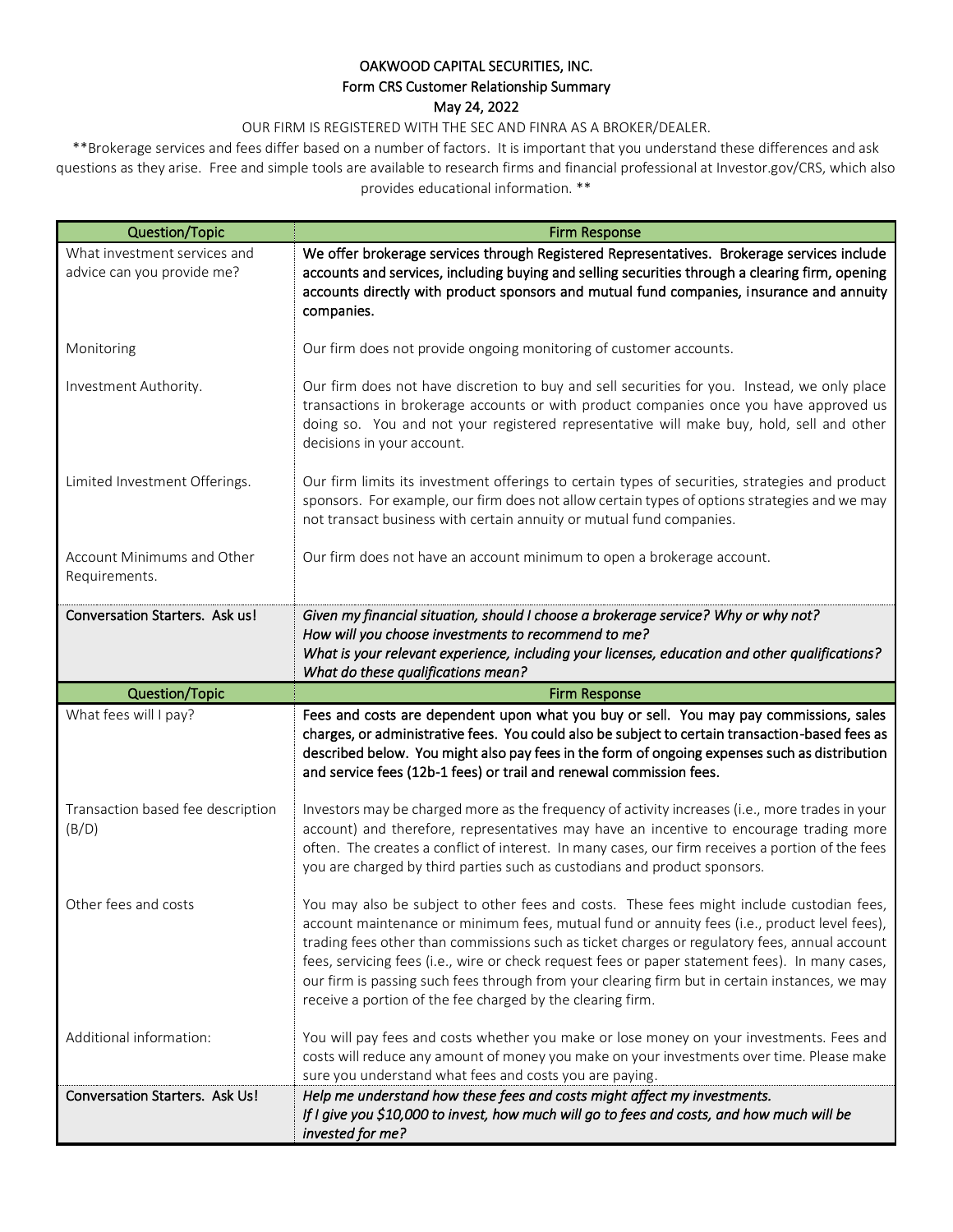## OAKWOOD CAPITAL SECURITIES, INC. Form CRS Customer Relationship Summary May 24, 2022

OUR FIRM IS REGISTERED WITH THE SEC AND FINRA AS A BROKER/DEALER.

\*\*Brokerage services and fees differ based on a number of factors. It is important that you understand these differences and ask questions as they arise. Free and simple tools are available to research firms and financial professional at Investor.gov/CRS, which also provides educational information. \*\*

| Question/Topic                                             | <b>Firm Response</b>                                                                                                                                                                                                                                                                                                                                                                                                                                                                                                                                          |
|------------------------------------------------------------|---------------------------------------------------------------------------------------------------------------------------------------------------------------------------------------------------------------------------------------------------------------------------------------------------------------------------------------------------------------------------------------------------------------------------------------------------------------------------------------------------------------------------------------------------------------|
| What investment services and<br>advice can you provide me? | We offer brokerage services through Registered Representatives. Brokerage services include<br>accounts and services, including buying and selling securities through a clearing firm, opening<br>accounts directly with product sponsors and mutual fund companies, insurance and annuity<br>companies.                                                                                                                                                                                                                                                       |
| Monitoring                                                 | Our firm does not provide ongoing monitoring of customer accounts.                                                                                                                                                                                                                                                                                                                                                                                                                                                                                            |
| Investment Authority.                                      | Our firm does not have discretion to buy and sell securities for you. Instead, we only place<br>transactions in brokerage accounts or with product companies once you have approved us<br>doing so. You and not your registered representative will make buy, hold, sell and other<br>decisions in your account.                                                                                                                                                                                                                                              |
| Limited Investment Offerings.                              | Our firm limits its investment offerings to certain types of securities, strategies and product<br>sponsors. For example, our firm does not allow certain types of options strategies and we may<br>not transact business with certain annuity or mutual fund companies.                                                                                                                                                                                                                                                                                      |
| Account Minimums and Other<br>Requirements.                | Our firm does not have an account minimum to open a brokerage account.                                                                                                                                                                                                                                                                                                                                                                                                                                                                                        |
| Conversation Starters. Ask us!                             | Given my financial situation, should I choose a brokerage service? Why or why not?<br>How will you choose investments to recommend to me?<br>What is your relevant experience, including your licenses, education and other qualifications?<br>What do these qualifications mean?                                                                                                                                                                                                                                                                             |
| Question/Topic                                             | <b>Firm Response</b>                                                                                                                                                                                                                                                                                                                                                                                                                                                                                                                                          |
|                                                            |                                                                                                                                                                                                                                                                                                                                                                                                                                                                                                                                                               |
| What fees will I pay?                                      | Fees and costs are dependent upon what you buy or sell. You may pay commissions, sales<br>charges, or administrative fees. You could also be subject to certain transaction-based fees as<br>described below. You might also pay fees in the form of ongoing expenses such as distribution<br>and service fees (12b-1 fees) or trail and renewal commission fees.                                                                                                                                                                                             |
| Transaction based fee description<br>(B/D)                 | Investors may be charged more as the frequency of activity increases (i.e., more trades in your<br>account) and therefore, representatives may have an incentive to encourage trading more<br>often. The creates a conflict of interest. In many cases, our firm receives a portion of the fees<br>you are charged by third parties such as custodians and product sponsors.                                                                                                                                                                                  |
| Other fees and costs                                       | You may also be subject to other fees and costs. These fees might include custodian fees,<br>account maintenance or minimum fees, mutual fund or annuity fees (i.e., product level fees),<br>trading fees other than commissions such as ticket charges or regulatory fees, annual account<br>fees, servicing fees (i.e., wire or check request fees or paper statement fees). In many cases,<br>our firm is passing such fees through from your clearing firm but in certain instances, we may<br>receive a portion of the fee charged by the clearing firm. |
| Additional information:                                    | You will pay fees and costs whether you make or lose money on your investments. Fees and<br>costs will reduce any amount of money you make on your investments over time. Please make<br>sure you understand what fees and costs you are paying.                                                                                                                                                                                                                                                                                                              |